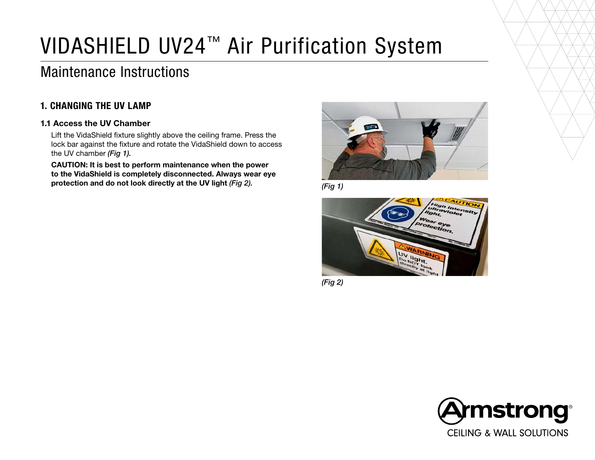# VIDASHIELD UV24™ Air Purification System

# Maintenance Instructions

### 1. CHANGING THE UV LAMP

#### 1.1 Access the UV Chamber

Lift the VidaShield fixture slightly above the ceiling frame. Press the lock bar against the fixture and rotate the VidaShield down to access the UV chamber *(Fig 1).*

CAUTION: It is best to perform maintenance when the power to the VidaShield is completely disconnected. Always wear eye protection and do not look directly at the UV light *(Fig 2). (Fig 1)*







*(Fig 2)*

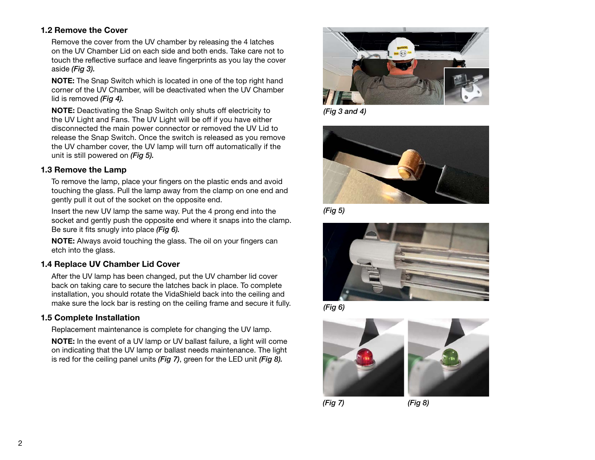#### 1.2 Remove the Cover

Remove the cover from the UV chamber by releasing the 4 latches on the UV Chamber Lid on each side and both ends. Take care not to touch the reflective surface and leave fingerprints as you lay the cover aside *(Fig 3).*

NOTE: The Snap Switch which is located in one of the top right hand corner of the UV Chamber, will be deactivated when the UV Chamber lid is removed *(Fig 4).*

NOTE: Deactivating the Snap Switch only shuts off electricity to the UV Light and Fans. The UV Light will be off if you have either disconnected the main power connector or removed the UV Lid to release the Snap Switch. Once the switch is released as you remove the UV chamber cover, the UV lamp will turn off automatically if the unit is still powered on *(Fig 5).*

#### 1.3 Remove the Lamp

To remove the lamp, place your fingers on the plastic ends and avoid touching the glass. Pull the lamp away from the clamp on one end and gently pull it out of the socket on the opposite end.

Insert the new UV lamp the same way. Put the 4 prong end into the socket and gently push the opposite end where it snaps into the clamp. Be sure it fits snugly into place *(Fig 6).*

NOTE: Always avoid touching the glass. The oil on your fingers can etch into the glass.

#### 1.4 Replace UV Chamber Lid Cover

After the UV lamp has been changed, put the UV chamber lid cover back on taking care to secure the latches back in place. To complete installation, you should rotate the VidaShield back into the ceiling and make sure the lock bar is resting on the ceiling frame and secure it fully.

#### 1.5 Complete Installation

Replacement maintenance is complete for changing the UV lamp.

NOTE: In the event of a UV lamp or UV ballast failure, a light will come on indicating that the UV lamp or ballast needs maintenance. The light is red for the ceiling panel units *(Fig 7)*, green for the LED unit *(Fig 8).*



*(Fig 3 and 4)*



*(Fig 5)*







*(Fig 7) (Fig 8)*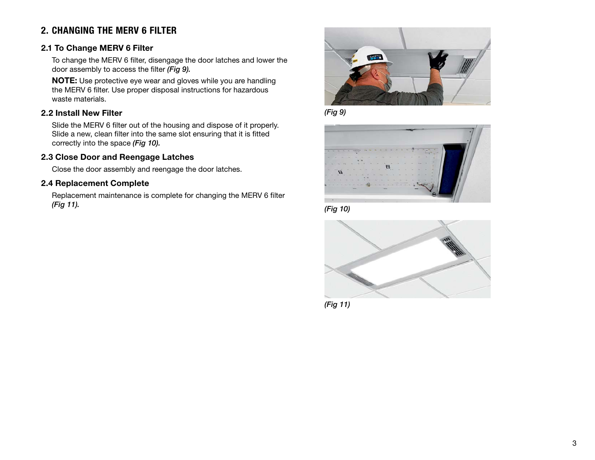# 2. CHANGING THE MERV 6 FILTER

#### 2.1 To Change MERV 6 Filter

To change the MERV 6 filter, disengage the door latches and lower the door assembly to access the filter *(Fig 9).*

NOTE: Use protective eye wear and gloves while you are handling the MERV 6 filter. Use proper disposal instructions for hazardous waste materials.

#### 2.2 Install New Filter

Slide the MERV 6 filter out of the housing and dispose of it properly. Slide a new, clean filter into the same slot ensuring that it is fitted correctly into the space *(Fig 10).*

#### 2.3 Close Door and Reengage Latches

Close the door assembly and reengage the door latches.

#### 2.4 Replacement Complete

Replacement maintenance is complete for changing the MERV 6 filter *(Fig 11).*











*(Fig 11)*